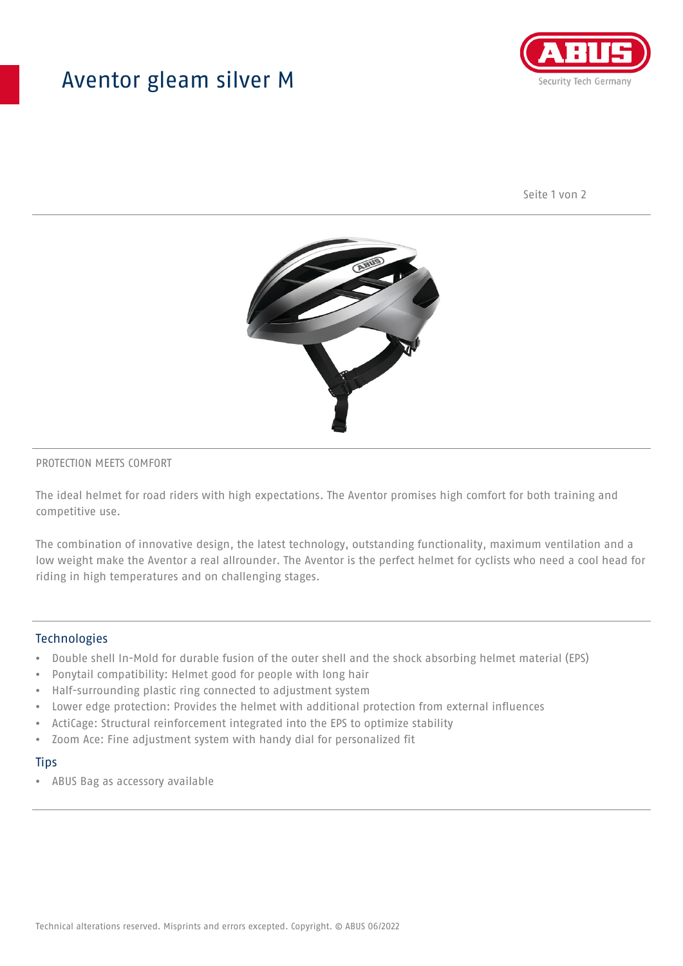## Aventor gleam silver M



Seite 1 von 2



#### PROTECTION MEETS COMFORT

The ideal helmet for road riders with high expectations. The Aventor promises high comfort for both training and competitive use.

The combination of innovative design, the latest technology, outstanding functionality, maximum ventilation and a low weight make the Aventor a real allrounder. The Aventor is the perfect helmet for cyclists who need a cool head for riding in high temperatures and on challenging stages.

#### **Technologies**

- Double shell In-Mold for durable fusion of the outer shell and the shock absorbing helmet material (EPS)
- Ponytail compatibility: Helmet good for people with long hair
- Half-surrounding plastic ring connected to adjustment system
- Lower edge protection: Provides the helmet with additional protection from external influences
- ActiCage: Structural reinforcement integrated into the EPS to optimize stability
- Zoom Ace: Fine adjustment system with handy dial for personalized fit

#### **Tips**

• ABUS Bag as accessory available